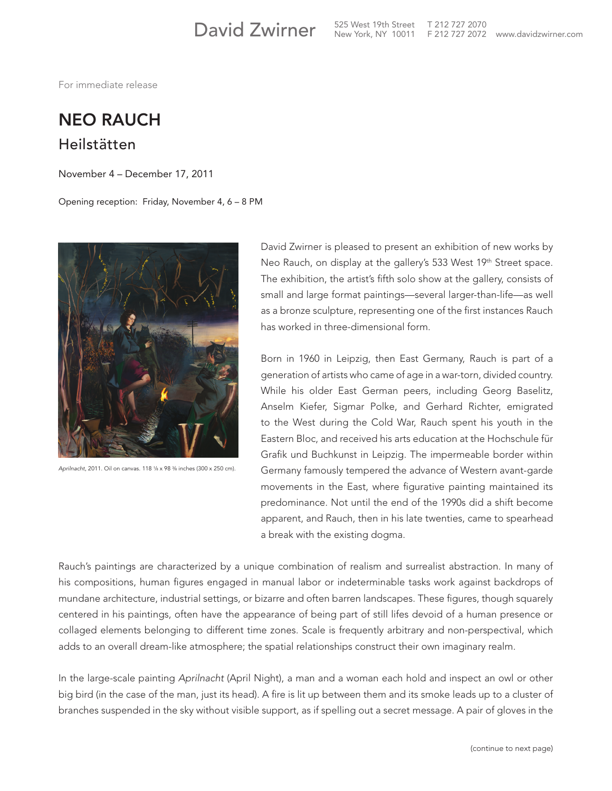525 West 19th Street T 212 727 2070

For immediate release

## NEO RAUCH Heilstätten

November 4 – December 17, 2011

Opening reception: Friday, November 4, 6 – 8 PM



Aprilnacht, 2011. Oil on canvas. 118 1/8 x 98 <sup>3</sup>/8 inches (300 x 250 cm).

David Zwirner is pleased to present an exhibition of new works by Neo Rauch, on display at the gallery's 533 West 19<sup>th</sup> Street space. The exhibition, the artist's fifth solo show at the gallery, consists of small and large format paintings—several larger-than-life—as well as a bronze sculpture, representing one of the first instances Rauch has worked in three-dimensional form.

Born in 1960 in Leipzig, then East Germany, Rauch is part of a generation of artists who came of age in a war-torn, divided country. While his older East German peers, including Georg Baselitz, Anselm Kiefer, Sigmar Polke, and Gerhard Richter, emigrated to the West during the Cold War, Rauch spent his youth in the Eastern Bloc, and received his arts education at the Hochschule für Grafik und Buchkunst in Leipzig. The impermeable border within Germany famously tempered the advance of Western avant-garde movements in the East, where figurative painting maintained its predominance. Not until the end of the 1990s did a shift become apparent, and Rauch, then in his late twenties, came to spearhead a break with the existing dogma.

Rauch's paintings are characterized by a unique combination of realism and surrealist abstraction. In many of his compositions, human figures engaged in manual labor or indeterminable tasks work against backdrops of mundane architecture, industrial settings, or bizarre and often barren landscapes. These figures, though squarely centered in his paintings, often have the appearance of being part of still lifes devoid of a human presence or collaged elements belonging to different time zones. Scale is frequently arbitrary and non-perspectival, which adds to an overall dream-like atmosphere; the spatial relationships construct their own imaginary realm.

In the large-scale painting *Aprilnacht* (April Night), a man and a woman each hold and inspect an owl or other big bird (in the case of the man, just its head). A fire is lit up between them and its smoke leads up to a cluster of branches suspended in the sky without visible support, as if spelling out a secret message. A pair of gloves in the